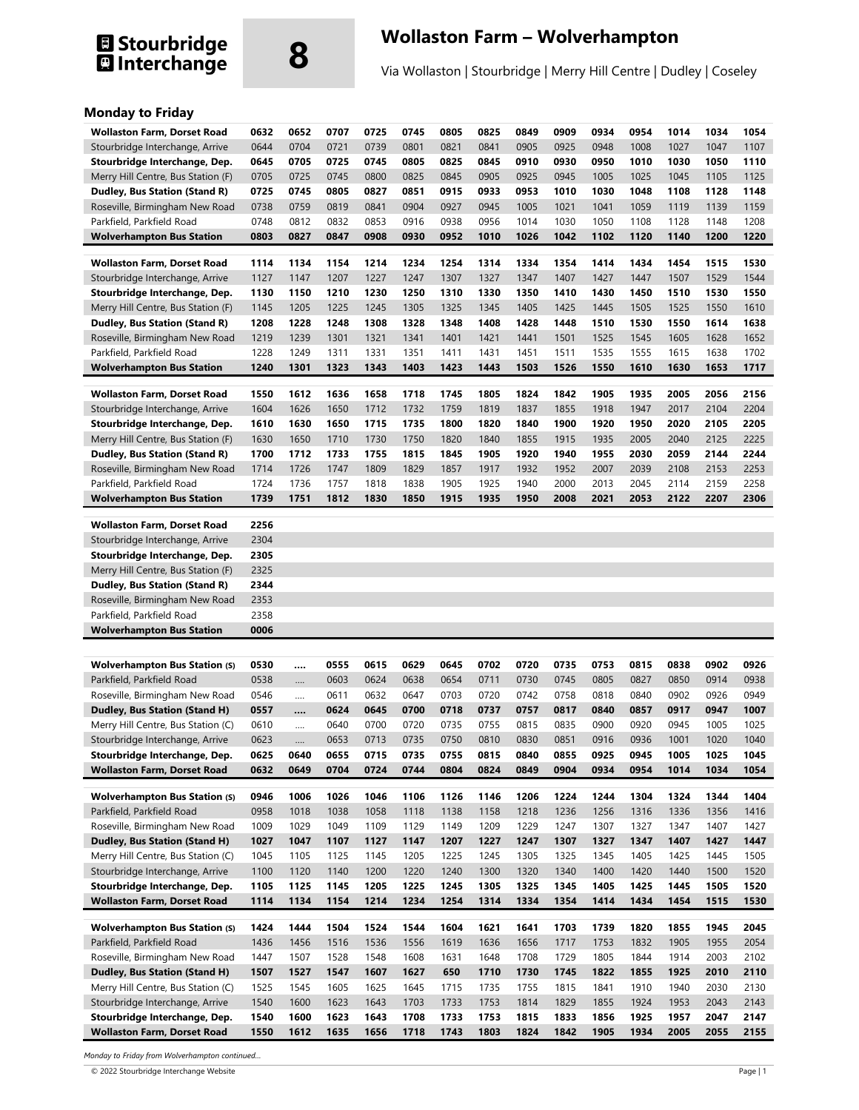# **8 Stourbridge CONTACT SERVICES CONTRESS**<br> **8 Interchange CONTACT Structure of Via Wollaston | Stourbridge | Merry Hill Centre | Duc**

Via Wollaston | Stourbridge | Merry Hill Centre | Dudley | Coseley

### **Monday to Friday**

| <b>Wollaston Farm, Dorset Road</b>                                  | 0632         | 0652         | 0707         | 0725         | 0745         | 0805         | 0825         | 0849         | 0909         | 0934         | 0954         | 1014         | 1034         | 1054         |
|---------------------------------------------------------------------|--------------|--------------|--------------|--------------|--------------|--------------|--------------|--------------|--------------|--------------|--------------|--------------|--------------|--------------|
| Stourbridge Interchange, Arrive                                     | 0644         | 0704         | 0721         | 0739         | 0801         | 0821         | 0841         | 0905         | 0925         | 0948         | 1008         | 1027         | 1047         | 1107         |
| Stourbridge Interchange, Dep.                                       | 0645         | 0705         | 0725         | 0745         | 0805         | 0825         | 0845         | 0910         | 0930         | 0950         | 1010         | 1030         | 1050         | 1110         |
| Merry Hill Centre, Bus Station (F)                                  | 0705         | 0725         | 0745         | 0800         | 0825         | 0845         | 0905         | 0925         | 0945         | 1005         | 1025         | 1045         | 1105         | 1125         |
| Dudley, Bus Station (Stand R)                                       | 0725         | 0745         | 0805         | 0827         | 0851         | 0915         | 0933         | 0953         | 1010         | 1030         | 1048         | 1108         | 1128         | 1148         |
| Roseville, Birmingham New Road                                      | 0738         | 0759         | 0819         | 0841         | 0904         | 0927         | 0945         | 1005         | 1021         | 1041         | 1059         | 1119         | 1139         | 1159         |
| Parkfield, Parkfield Road                                           | 0748         | 0812         | 0832         | 0853         | 0916         | 0938         | 0956         | 1014         | 1030         | 1050         | 1108         | 1128         | 1148         | 1208         |
| <b>Wolverhampton Bus Station</b>                                    | 0803         | 0827         | 0847         | 0908         | 0930         | 0952         | 1010         | 1026         | 1042         | 1102         | 1120         | 1140         | 1200         | 1220         |
|                                                                     |              |              |              |              |              |              |              |              |              |              |              |              |              |              |
| <b>Wollaston Farm, Dorset Road</b>                                  | 1114         | 1134         | 1154         | 1214         | 1234         | 1254         | 1314         | 1334         | 1354         | 1414         | 1434         | 1454         | 1515         | 1530         |
| Stourbridge Interchange, Arrive                                     | 1127         | 1147         | 1207         | 1227         | 1247         | 1307         | 1327         | 1347         | 1407         | 1427         | 1447         | 1507         | 1529         | 1544         |
| Stourbridge Interchange, Dep.                                       | 1130         | 1150         | 1210         | 1230         | 1250         | 1310         | 1330         | 1350         | 1410         | 1430         | 1450         | 1510         | 1530         | 1550         |
| Merry Hill Centre, Bus Station (F)                                  | 1145         | 1205         | 1225         | 1245         | 1305         | 1325         | 1345         | 1405         | 1425         | 1445         | 1505         | 1525         | 1550         | 1610         |
| Dudley, Bus Station (Stand R)                                       | 1208         | 1228         | 1248         | 1308         | 1328         | 1348         | 1408         | 1428         | 1448         | 1510         | 1530         | 1550         | 1614         | 1638         |
| Roseville, Birmingham New Road                                      | 1219         | 1239         | 1301         | 1321         | 1341         | 1401         | 1421         | 1441         | 1501         | 1525         | 1545         | 1605         | 1628         | 1652         |
| Parkfield, Parkfield Road                                           | 1228         | 1249         | 1311         | 1331         | 1351         | 1411         | 1431         | 1451         | 1511         | 1535         | 1555         | 1615         | 1638         | 1702         |
| <b>Wolverhampton Bus Station</b>                                    | 1240         | 1301         | 1323         | 1343         | 1403         | 1423         | 1443         | 1503         | 1526         | 1550         | 1610         | 1630         | 1653         | 1717         |
| <b>Wollaston Farm, Dorset Road</b>                                  | 1550         | 1612         | 1636         | 1658         | 1718         | 1745         | 1805         | 1824         | 1842         | 1905         | 1935         | 2005         | 2056         | 2156         |
| Stourbridge Interchange, Arrive                                     | 1604         | 1626         | 1650         | 1712         | 1732         | 1759         | 1819         | 1837         | 1855         | 1918         | 1947         | 2017         | 2104         | 2204         |
| Stourbridge Interchange, Dep.                                       | 1610         | 1630         | 1650         | 1715         | 1735         | 1800         | 1820         | 1840         | 1900         | 1920         | 1950         | 2020         | 2105         | 2205         |
| Merry Hill Centre, Bus Station (F)                                  | 1630         | 1650         | 1710         | 1730         | 1750         | 1820         | 1840         | 1855         | 1915         | 1935         | 2005         | 2040         | 2125         | 2225         |
| Dudley, Bus Station (Stand R)                                       | 1700         | 1712         | 1733         | 1755         | 1815         | 1845         | 1905         | 1920         | 1940         | 1955         | 2030         | 2059         | 2144         | 2244         |
| Roseville, Birmingham New Road                                      | 1714         | 1726         | 1747         | 1809         | 1829         | 1857         | 1917         | 1932         | 1952         | 2007         | 2039         | 2108         | 2153         | 2253         |
| Parkfield, Parkfield Road                                           | 1724         | 1736         | 1757         | 1818         | 1838         | 1905         | 1925         | 1940         | 2000         | 2013         | 2045         | 2114         | 2159         | 2258         |
| Wolverhampton Bus Station                                           | 1739         | 1751         | 1812         | 1830         | 1850         | 1915         | 1935         | 1950         | 2008         | 2021         | 2053         | 2122         | 2207         | 2306         |
|                                                                     |              |              |              |              |              |              |              |              |              |              |              |              |              |              |
| <b>Wollaston Farm, Dorset Road</b>                                  | 2256<br>2304 |              |              |              |              |              |              |              |              |              |              |              |              |              |
| Stourbridge Interchange, Arrive<br>Stourbridge Interchange, Dep.    | 2305         |              |              |              |              |              |              |              |              |              |              |              |              |              |
| Merry Hill Centre, Bus Station (F)                                  | 2325         |              |              |              |              |              |              |              |              |              |              |              |              |              |
| <b>Dudley, Bus Station (Stand R)</b>                                | 2344         |              |              |              |              |              |              |              |              |              |              |              |              |              |
| Roseville, Birmingham New Road                                      | 2353         |              |              |              |              |              |              |              |              |              |              |              |              |              |
| Parkfield, Parkfield Road                                           | 2358         |              |              |              |              |              |              |              |              |              |              |              |              |              |
| <b>Wolverhampton Bus Station</b>                                    | 0006         |              |              |              |              |              |              |              |              |              |              |              |              |              |
|                                                                     |              |              |              |              |              |              |              |              |              |              |              |              |              |              |
| <b>Wolverhampton Bus Station (S)</b>                                | 0530         |              | 0555         | 0615         | 0629         | 0645         | 0702         | 0720         | 0735         | 0753         | 0815         | 0838         | 0902         | 0926         |
| Parkfield, Parkfield Road                                           | 0538         |              | 0603         | 0624         | 0638         | 0654         | 0711         | 0730         | 0745         | 0805         | 0827         | 0850         | 0914         | 0938         |
| Roseville, Birmingham New Road                                      | 0546         |              | 0611         | 0632         | 0647         | 0703         | 0720         | 0742         | 0758         | 0818         | 0840         | 0902         | 0926         | 0949         |
| <b>Dudley, Bus Station (Stand H)</b>                                | 0557         |              | 0624         | 0645         | 0700         | 0718         | 0737         | 0757         | 0817         |              |              |              |              |              |
| Merry Hill Centre, Bus Station (C)                                  | 0610         |              |              |              |              |              |              |              |              | 0840         | 0857         | 0917         | 0947         | 1007         |
| Stourbridge Interchange, Arrive                                     |              |              | 0640         | 0700         | 0720         | 0735         | 0755         | 0815         | 0835         | 0900         | 0920         | 0945         | 1005         | 1025         |
| Stourbridge Interchange, Dep.                                       | 0623         |              | 0653         | 0713         | 0735         | 0750         | 0810         | 0830         | 0851         | 0916         | 0936         | 1001         | 1020         | 1040         |
|                                                                     | 0625         | 0640         | 0655         | 0715         | 0735         | 0755         | 0815         | 0840         | 0855         | 0925         | 0945         | 1005         | 1025         | 1045         |
| <b>Wollaston Farm, Dorset Road</b>                                  | 0632         | 0649         | 0704         | 0724         | 0744         | 0804         | 0824         | 0849         | 0904         | 0934         | 0954         | 1014         | 1034         | 1054         |
|                                                                     |              |              |              |              |              |              |              |              |              |              |              |              |              |              |
| <b>Wolverhampton Bus Station (S)</b>                                | 0946         | 1006         | 1026         | 1046         | 1106         | 1126         | 1146         | 1206         | 1224         | 1244         | 1304         | 1324         | 1344         | 1404         |
| Parkfield, Parkfield Road                                           | 0958         | 1018         | 1038         | 1058         | 1118         | 1138         | 1158         | 1218         | 1236         | 1256         | 1316         | 1336         | 1356         | 1416         |
| Roseville, Birmingham New Road                                      | 1009         | 1029         | 1049         | 1109         | 1129         | 1149         | 1209         | 1229         | 1247         | 1307         | 1327         | 1347         | 1407         | 1427         |
| <b>Dudley, Bus Station (Stand H)</b>                                | 1027         | 1047         | 1107         | 1127         | 1147         | 1207         | 1227         | 1247         | 1307         | 1327         | 1347         | 1407         | 1427         | 1447         |
| Merry Hill Centre, Bus Station (C)                                  | 1045         | 1105         | 1125         | 1145         | 1205         | 1225         | 1245         | 1305         | 1325         | 1345         | 1405         | 1425         | 1445         | 1505         |
| Stourbridge Interchange, Arrive                                     | 1100         | 1120         | 1140         | 1200         | 1220         | 1240         | 1300         | 1320         | 1340         | 1400         | 1420         | 1440         | 1500         | 1520         |
| Stourbridge Interchange, Dep.<br><b>Wollaston Farm, Dorset Road</b> | 1105<br>1114 | 1125<br>1134 | 1145<br>1154 | 1205<br>1214 | 1225<br>1234 | 1245<br>1254 | 1305<br>1314 | 1325<br>1334 | 1345<br>1354 | 1405<br>1414 | 1425<br>1434 | 1445<br>1454 | 1505<br>1515 | 1520<br>1530 |
|                                                                     |              |              |              |              |              |              |              |              |              |              |              |              |              |              |
| <b>Wolverhampton Bus Station (S)</b>                                | 1424         | 1444         | 1504         | 1524         | 1544         | 1604         | 1621         | 1641         | 1703         | 1739         | 1820         | 1855         | 1945         | 2045         |
| Parkfield, Parkfield Road                                           | 1436         | 1456         | 1516         | 1536         | 1556         | 1619         | 1636         | 1656         | 1717         | 1753         | 1832         | 1905         | 1955         | 2054         |
| Roseville, Birmingham New Road                                      | 1447         | 1507         | 1528         | 1548         | 1608         | 1631         | 1648         | 1708         | 1729         | 1805         | 1844         | 1914         | 2003         | 2102         |
| <b>Dudley, Bus Station (Stand H)</b>                                | 1507         | 1527         | 1547         | 1607         | 1627         | 650          | 1710         | 1730         | 1745         | 1822         | 1855         | 1925         | 2010         | 2110         |
| Merry Hill Centre, Bus Station (C)                                  | 1525         | 1545         | 1605         | 1625         | 1645         | 1715         | 1735         | 1755         | 1815         | 1841         | 1910         | 1940         | 2030         | 2130         |
| Stourbridge Interchange, Arrive                                     | 1540         | 1600         | 1623         | 1643         | 1703         | 1733         | 1753         | 1814         | 1829         | 1855         | 1924         | 1953         | 2043         | 2143         |
| Stourbridge Interchange, Dep.<br><b>Wollaston Farm, Dorset Road</b> | 1540<br>1550 | 1600<br>1612 | 1623<br>1635 | 1643<br>1656 | 1708<br>1718 | 1733<br>1743 | 1753<br>1803 | 1815<br>1824 | 1833<br>1842 | 1856<br>1905 | 1925<br>1934 | 1957<br>2005 | 2047<br>2055 | 2147<br>2155 |

*Monday to Friday from Wolverhampton continued…* 

© 2022 Stourbridge Interchange Website Page | 1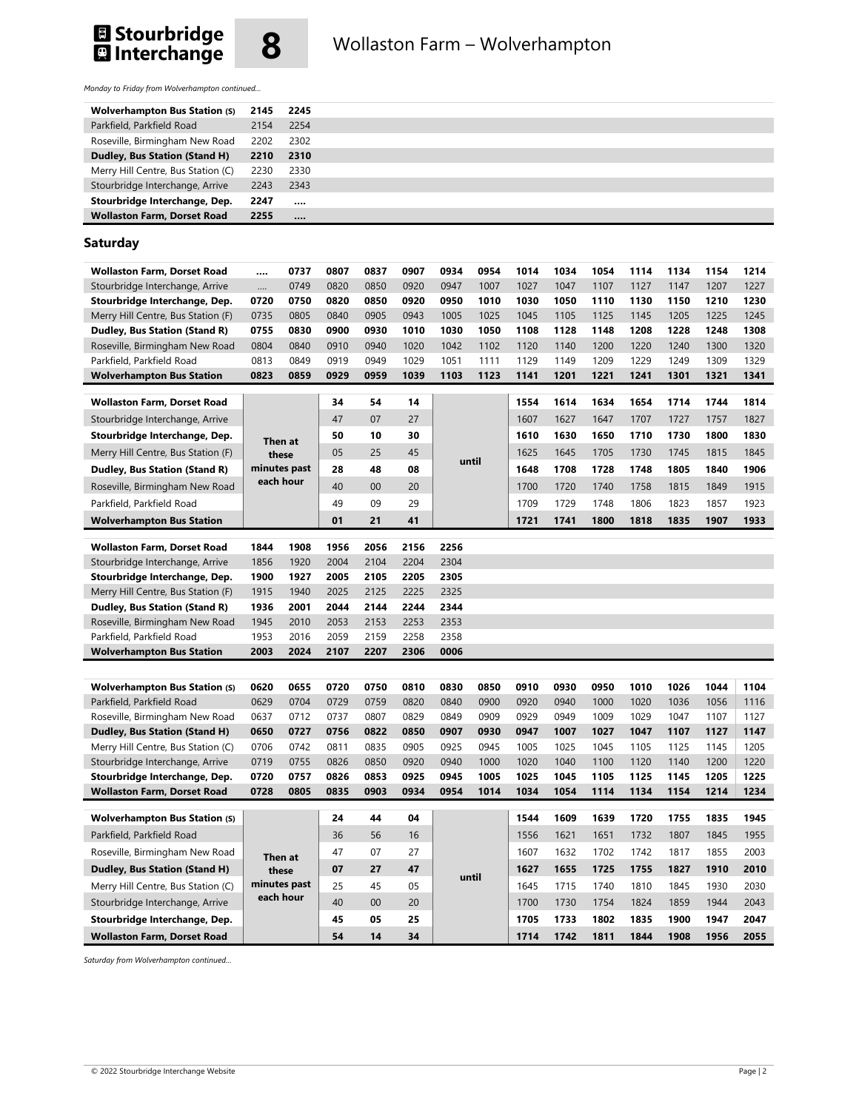



*Monday to Friday from Wolverhampton continued…* 

| <b>Wolverhampton Bus Station (S)</b> | 2145 | 2245     |
|--------------------------------------|------|----------|
| Parkfield, Parkfield Road            | 2154 | 2254     |
| Roseville, Birmingham New Road       | 2202 | 2302     |
| Dudley, Bus Station (Stand H)        | 2210 | 2310     |
| Merry Hill Centre, Bus Station (C)   | 2230 | 2330     |
| Stourbridge Interchange, Arrive      | 2243 | 2343     |
| Stourbridge Interchange, Dep.        | 2247 | $\cdots$ |
| <b>Wollaston Farm, Dorset Road</b>   | 2255 |          |

#### **Saturday**

| <b>Wollaston Farm, Dorset Road</b>                                     |              | 0737         | 0807         | 0837         | 0907         | 0934         | 0954         | 1014         | 1034         | 1054         | 1114         | 1134         | 1154         | 1214         |
|------------------------------------------------------------------------|--------------|--------------|--------------|--------------|--------------|--------------|--------------|--------------|--------------|--------------|--------------|--------------|--------------|--------------|
| Stourbridge Interchange, Arrive                                        | 0749<br>     |              | 0820         | 0850         | 0920         | 0947         | 1007         | 1027         | 1047         | 1107         | 1127         | 1147         | 1207         | 1227         |
| Stourbridge Interchange, Dep.                                          | 0720         | 0750         | 0820         | 0850         | 0920         | 0950         | 1010         | 1030         | 1050         | 1110         | 1130         | 1150         | 1210         | 1230         |
| Merry Hill Centre, Bus Station (F)                                     | 0735         | 0805         | 0840         | 0905         | 0943         | 1005         | 1025         | 1045         | 1105         | 1125         | 1145         | 1205         | 1225         | 1245         |
| Dudley, Bus Station (Stand R)                                          | 0755         | 0830         | 0900         | 0930         | 1010         | 1030         | 1050         | 1108         | 1128         | 1148         | 1208         | 1228         | 1248         | 1308         |
| Roseville, Birmingham New Road                                         | 0804         | 0840         | 0910         | 0940         | 1020         | 1042         | 1102         | 1120         | 1140         | 1200         | 1220         | 1240         | 1300         | 1320         |
| Parkfield, Parkfield Road                                              | 0813         | 0849         | 0919         | 0949         | 1029         | 1051         | 1111         | 1129         | 1149         | 1209         | 1229         | 1249         | 1309         | 1329         |
| <b>Wolverhampton Bus Station</b>                                       | 0823         | 0859         | 0929         | 0959         | 1039         | 1103         | 1123         | 1141         | 1201         | 1221         | 1241         | 1301         | 1321         | 1341         |
| <b>Wollaston Farm, Dorset Road</b>                                     | Then at      |              | 34           | 54           | 14           |              |              |              | 1614         | 1634         | 1654         | 1714         | 1744         | 1814         |
| Stourbridge Interchange, Arrive                                        |              |              | 47           | 07           | 27           |              | 1607         | 1627         | 1647         | 1707         | 1727         | 1757         | 1827         |              |
| Stourbridge Interchange, Dep.                                          |              |              | 50           | 10           | 30           |              |              | 1610         | 1630         | 1650         | 1710         | 1730         | 1800         | 1830         |
| Merry Hill Centre, Bus Station (F)                                     |              | these        | 05           | 25           | 45           |              | 1625         | 1645         | 1705         | 1730         | 1745         | 1815         | 1845         |              |
| Dudley, Bus Station (Stand R)                                          |              | minutes past | 28           | 48           | 08           |              | until        | 1648         | 1708         | 1728         | 1748         | 1805         | 1840         | 1906         |
| Roseville, Birmingham New Road                                         |              | each hour    | 40           | 00           | 20           |              | 1700         | 1720         | 1740         | 1758         | 1815         | 1849         | 1915         |              |
| Parkfield, Parkfield Road                                              |              |              | 49           | 09           | 29           |              |              | 1709         | 1729         | 1748         | 1806         | 1823         | 1857         | 1923         |
| <b>Wolverhampton Bus Station</b>                                       |              |              | 01           | 21           | 41           |              |              | 1721         | 1741         | 1800         | 1818         | 1835         | 1907         | 1933         |
|                                                                        |              |              |              |              |              |              |              |              |              |              |              |              |              |              |
| <b>Wollaston Farm, Dorset Road</b>                                     | 1844         | 1908         | 1956         | 2056         | 2156         | 2256         |              |              |              |              |              |              |              |              |
| Stourbridge Interchange, Arrive                                        | 1856         | 1920         | 2004         | 2104         | 2204         | 2304         |              |              |              |              |              |              |              |              |
| Stourbridge Interchange, Dep.                                          | 1900         | 1927         | 2005         | 2105         | 2205         | 2305         |              |              |              |              |              |              |              |              |
| Merry Hill Centre, Bus Station (F)                                     | 1915         | 1940         | 2025         | 2125         | 2225         | 2325         |              |              |              |              |              |              |              |              |
| Dudley, Bus Station (Stand R)                                          | 1936         | 2001         | 2044         | 2144         | 2244         | 2344         |              |              |              |              |              |              |              |              |
| Roseville, Birmingham New Road                                         | 1945         | 2010         | 2053         | 2153         | 2253         | 2353         |              |              |              |              |              |              |              |              |
| Parkfield, Parkfield Road<br><b>Wolverhampton Bus Station</b>          | 1953<br>2003 | 2016<br>2024 | 2059<br>2107 | 2159<br>2207 | 2258<br>2306 | 2358<br>0006 |              |              |              |              |              |              |              |              |
|                                                                        |              |              |              |              |              |              |              |              |              |              |              |              |              |              |
|                                                                        |              |              |              |              |              |              |              |              |              |              |              |              |              |              |
| <b>Wolverhampton Bus Station (S)</b>                                   | 0620         | 0655         | 0720         | 0750         | 0810         | 0830         | 0850         | 0910         | 0930         | 0950         | 1010         | 1026         | 1044         | 1104         |
| Parkfield, Parkfield Road                                              | 0629<br>0637 | 0704<br>0712 | 0729<br>0737 | 0759<br>0807 | 0820<br>0829 | 0840<br>0849 | 0900<br>0909 | 0920<br>0929 | 0940<br>0949 | 1000<br>1009 | 1020<br>1029 | 1036<br>1047 | 1056<br>1107 | 1116<br>1127 |
| Roseville, Birmingham New Road<br><b>Dudley, Bus Station (Stand H)</b> | 0650         | 0727         | 0756         | 0822         | 0850         | 0907         | 0930         | 0947         | 1007         | 1027         | 1047         | 1107         | 1127         | 1147         |
| Merry Hill Centre, Bus Station (C)                                     | 0706         | 0742         | 0811         | 0835         | 0905         | 0925         | 0945         | 1005         | 1025         | 1045         | 1105         | 1125         | 1145         | 1205         |
| Stourbridge Interchange, Arrive                                        | 0719         | 0755         | 0826         | 0850         | 0920         | 0940         | 1000         | 1020         | 1040         | 1100         | 1120         | 1140         | 1200         | 1220         |
| Stourbridge Interchange, Dep.                                          | 0720         | 0757         | 0826         | 0853         | 0925         | 0945         | 1005         | 1025         | 1045         | 1105         | 1125         | 1145         | 1205         | 1225         |
| <b>Wollaston Farm, Dorset Road</b>                                     | 0728         | 0805         | 0835         | 0903         | 0934         | 0954         | 1014         | 1034         | 1054         | 1114         | 1134         | 1154         | 1214         | 1234         |
|                                                                        |              |              |              |              |              |              |              |              |              |              |              |              |              |              |
| <b>Wolverhampton Bus Station (S)</b>                                   |              |              | 24           | 44           | 04           |              |              | 1544         | 1609         | 1639         | 1720         | 1755         | 1835         | 1945         |
| Parkfield, Parkfield Road                                              |              |              | 36           | 56           | 16           |              |              | 1556         | 1621         | 1651         | 1732         | 1807         | 1845         | 1955         |
| Roseville, Birmingham New Road                                         |              | Then at      | 47           | 07           | 27           |              |              | 1607         | 1632         | 1702         | 1742         | 1817         | 1855         | 2003         |
| <b>Dudley, Bus Station (Stand H)</b>                                   |              | these        | 07           | 27           | 47           |              | until        | 1627         | 1655         | 1725         | 1755         | 1827         | 1910         | 2010         |
| Merry Hill Centre, Bus Station (C)                                     |              | minutes past | 25           | 45           | 05           |              |              | 1645         | 1715         | 1740         | 1810         | 1845         | 1930         | 2030         |
| Stourbridge Interchange, Arrive                                        |              | each hour    | 40           | 00           | 20           |              |              | 1700         | 1730         | 1754         | 1824         | 1859         | 1944         | 2043         |
| Stourbridge Interchange, Dep.                                          |              |              | 45           | 05           | 25           |              |              | 1705         | 1733         | 1802         | 1835         | 1900         | 1947         | 2047         |
| <b>Wollaston Farm, Dorset Road</b>                                     |              |              | 54           | 14           | 34           |              |              | 1714         | 1742         | 1811         | 1844         | 1908         | 1956         | 2055         |

*Saturday from Wolverhampton continued…*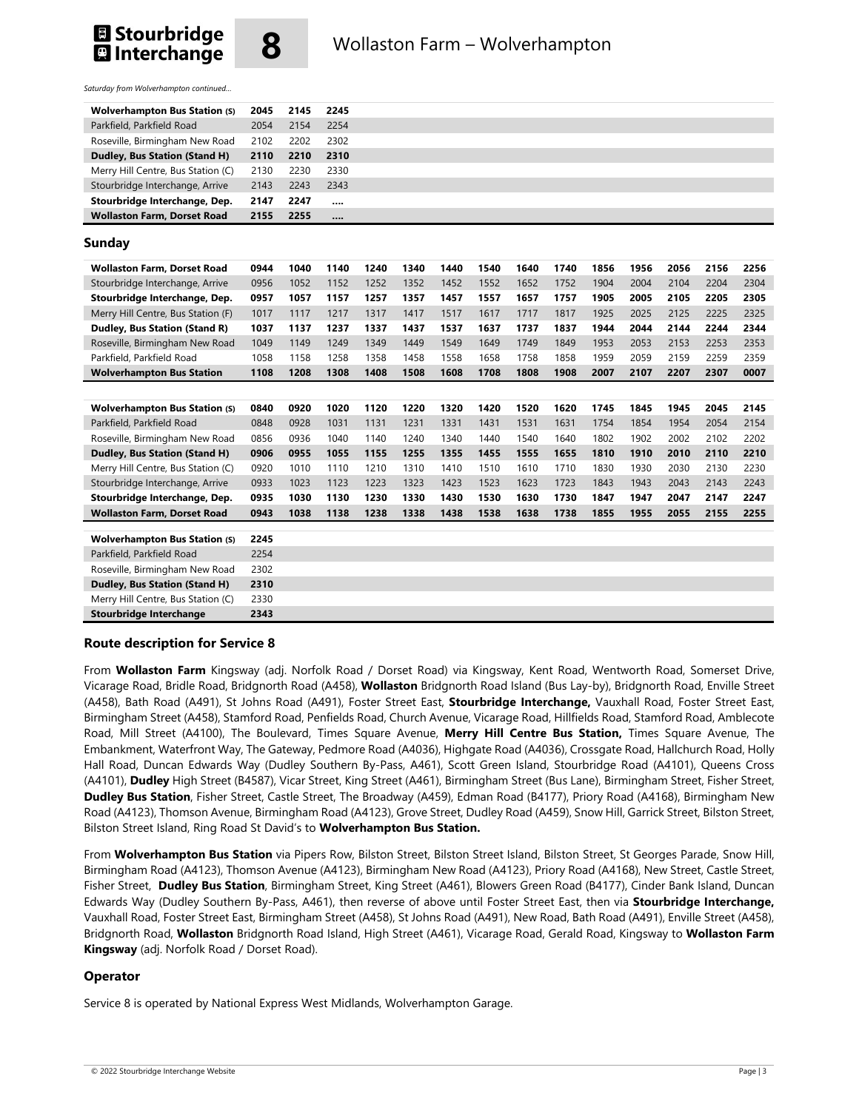



*Saturday from Wolverhampton continued…*

| <b>Wolverhampton Bus Station (S)</b> | 2045 | 2145 | 2245     |
|--------------------------------------|------|------|----------|
| Parkfield, Parkfield Road            | 2054 | 2154 | 2254     |
| Roseville, Birmingham New Road       | 2102 | 2202 | 2302     |
| <b>Dudley, Bus Station (Stand H)</b> | 2110 | 2210 | 2310     |
| Merry Hill Centre, Bus Station (C)   | 2130 | 2230 | 2330     |
| Stourbridge Interchange, Arrive      | 2143 | 2243 | 2343     |
| Stourbridge Interchange, Dep.        | 2147 | 2247 | $\cdots$ |
| <b>Wollaston Farm, Dorset Road</b>   | 2155 | 2255 |          |

#### **Sunday**

| <b>Wollaston Farm, Dorset Road</b>   | 0944 | 1040 | 1140 | 1240 | 1340 | 1440 | 1540 | 1640 | 1740 | 1856 | 1956 | 2056 | 2156 | 2256 |
|--------------------------------------|------|------|------|------|------|------|------|------|------|------|------|------|------|------|
| Stourbridge Interchange, Arrive      | 0956 | 1052 | 1152 | 1252 | 1352 | 1452 | 1552 | 1652 | 1752 | 1904 | 2004 | 2104 | 2204 | 2304 |
| Stourbridge Interchange, Dep.        | 0957 | 1057 | 1157 | 1257 | 1357 | 1457 | 1557 | 1657 | 1757 | 1905 | 2005 | 2105 | 2205 | 2305 |
| Merry Hill Centre, Bus Station (F)   | 1017 | 1117 | 1217 | 1317 | 1417 | 1517 | 1617 | 1717 | 1817 | 1925 | 2025 | 2125 | 2225 | 2325 |
| Dudley, Bus Station (Stand R)        | 1037 | 1137 | 1237 | 1337 | 1437 | 1537 | 1637 | 1737 | 1837 | 1944 | 2044 | 2144 | 2244 | 2344 |
| Roseville, Birmingham New Road       | 1049 | 1149 | 1249 | 1349 | 1449 | 1549 | 1649 | 1749 | 1849 | 1953 | 2053 | 2153 | 2253 | 2353 |
| Parkfield, Parkfield Road            | 1058 | 1158 | 1258 | 1358 | 1458 | 1558 | 1658 | 1758 | 1858 | 1959 | 2059 | 2159 | 2259 | 2359 |
| <b>Wolverhampton Bus Station</b>     | 1108 | 1208 | 1308 | 1408 | 1508 | 1608 | 1708 | 1808 | 1908 | 2007 | 2107 | 2207 | 2307 | 0007 |
|                                      |      |      |      |      |      |      |      |      |      |      |      |      |      |      |
| <b>Wolverhampton Bus Station (S)</b> | 0840 | 0920 | 1020 | 1120 | 1220 | 1320 | 1420 | 1520 | 1620 | 1745 | 1845 | 1945 | 2045 | 2145 |
| Parkfield, Parkfield Road            | 0848 | 0928 | 1031 | 1131 | 1231 | 1331 | 1431 | 1531 | 1631 | 1754 | 1854 | 1954 | 2054 | 2154 |
| Roseville, Birmingham New Road       | 0856 | 0936 | 1040 | 1140 | 1240 | 1340 | 1440 | 1540 | 1640 | 1802 | 1902 | 2002 | 2102 | 2202 |
| Dudley, Bus Station (Stand H)        | 0906 | 0955 | 1055 | 1155 | 1255 | 1355 | 1455 | 1555 | 1655 | 1810 | 1910 | 2010 | 2110 | 2210 |
| Merry Hill Centre, Bus Station (C)   | 0920 | 1010 | 1110 | 1210 | 1310 | 1410 | 1510 | 1610 | 1710 | 1830 | 1930 | 2030 | 2130 | 2230 |
| Stourbridge Interchange, Arrive      | 0933 | 1023 | 1123 | 1223 | 1323 | 1423 | 1523 | 1623 | 1723 | 1843 | 1943 | 2043 | 2143 | 2243 |
| Stourbridge Interchange, Dep.        | 0935 | 1030 | 1130 | 1230 | 1330 | 1430 | 1530 | 1630 | 1730 | 1847 | 1947 | 2047 | 2147 | 2247 |
| <b>Wollaston Farm, Dorset Road</b>   | 0943 | 1038 | 1138 | 1238 | 1338 | 1438 | 1538 | 1638 | 1738 | 1855 | 1955 | 2055 | 2155 | 2255 |
|                                      |      |      |      |      |      |      |      |      |      |      |      |      |      |      |
| <b>Wolverhampton Bus Station (S)</b> | 2245 |      |      |      |      |      |      |      |      |      |      |      |      |      |
| Parkfield, Parkfield Road            | 2254 |      |      |      |      |      |      |      |      |      |      |      |      |      |
| Roseville, Birmingham New Road       | 2302 |      |      |      |      |      |      |      |      |      |      |      |      |      |
| Dudley, Bus Station (Stand H)        | 2310 |      |      |      |      |      |      |      |      |      |      |      |      |      |
| Merry Hill Centre, Bus Station (C)   | 2330 |      |      |      |      |      |      |      |      |      |      |      |      |      |

## **Stourbridge Interchange 2343 Route description for Service 8**

From **Wollaston Farm** Kingsway (adj. Norfolk Road / Dorset Road) via Kingsway, Kent Road, Wentworth Road, Somerset Drive, Vicarage Road, Bridle Road, Bridgnorth Road (A458), **Wollaston** Bridgnorth Road Island (Bus Lay-by), Bridgnorth Road, Enville Street (A458), Bath Road (A491), St Johns Road (A491), Foster Street East, **Stourbridge Interchange,** Vauxhall Road, Foster Street East, Birmingham Street (A458), Stamford Road, Penfields Road, Church Avenue, Vicarage Road, Hillfields Road, Stamford Road, Amblecote Road, Mill Street (A4100), The Boulevard, Times Square Avenue, **Merry Hill Centre Bus Station,** Times Square Avenue, The Embankment, Waterfront Way, The Gateway, Pedmore Road (A4036), Highgate Road (A4036), Crossgate Road, Hallchurch Road, Holly Hall Road, Duncan Edwards Way (Dudley Southern By-Pass, A461), Scott Green Island, Stourbridge Road (A4101), Queens Cross (A4101), **Dudley** High Street (B4587), Vicar Street, King Street (A461), Birmingham Street (Bus Lane), Birmingham Street, Fisher Street, **Dudley Bus Station**, Fisher Street, Castle Street, The Broadway (A459), Edman Road (B4177), Priory Road (A4168), Birmingham New Road (A4123), Thomson Avenue, Birmingham Road (A4123), Grove Street, Dudley Road (A459), Snow Hill, Garrick Street, Bilston Street, Bilston Street Island, Ring Road St David's to **Wolverhampton Bus Station.**

From **Wolverhampton Bus Station** via Pipers Row, Bilston Street, Bilston Street Island, Bilston Street, St Georges Parade, Snow Hill, Birmingham Road (A4123), Thomson Avenue (A4123), Birmingham New Road (A4123), Priory Road (A4168), New Street, Castle Street, Fisher Street, **Dudley Bus Station**, Birmingham Street, King Street (A461), Blowers Green Road (B4177), Cinder Bank Island, Duncan Edwards Way (Dudley Southern By-Pass, A461), then reverse of above until Foster Street East, then via **Stourbridge Interchange,** Vauxhall Road, Foster Street East, Birmingham Street (A458), St Johns Road (A491), New Road, Bath Road (A491), Enville Street (A458), Bridgnorth Road, **Wollaston** Bridgnorth Road Island, High Street (A461), Vicarage Road, Gerald Road, Kingsway to **Wollaston Farm Kingsway** (adj. Norfolk Road / Dorset Road).

#### **Operator**

Service 8 is operated by National Express West Midlands, Wolverhampton Garage.